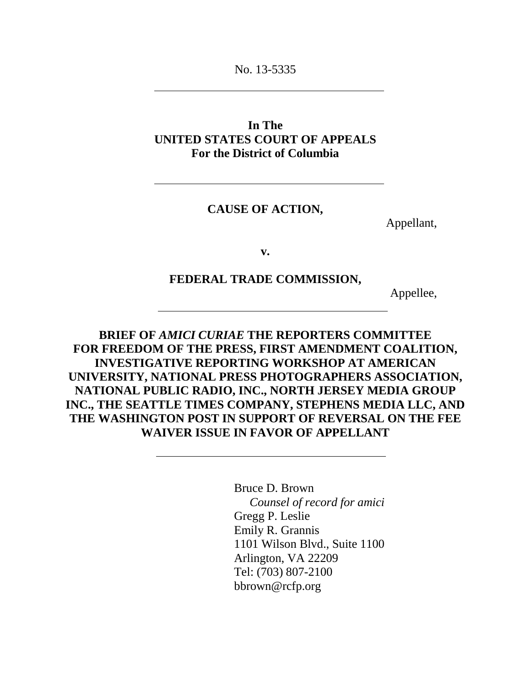No. 13-5335

## **In The UNITED STATES COURT OF APPEALS For the District of Columbia**

#### **CAUSE OF ACTION,**

Appellant,

**v.**

#### **FEDERAL TRADE COMMISSION,**

Appellee,

**BRIEF OF** *AMICI CURIAE* **THE REPORTERS COMMITTEE FOR FREEDOM OF THE PRESS, FIRST AMENDMENT COALITION, INVESTIGATIVE REPORTING WORKSHOP AT AMERICAN UNIVERSITY, NATIONAL PRESS PHOTOGRAPHERS ASSOCIATION, NATIONAL PUBLIC RADIO, INC., NORTH JERSEY MEDIA GROUP INC., THE SEATTLE TIMES COMPANY, STEPHENS MEDIA LLC, AND THE WASHINGTON POST IN SUPPORT OF REVERSAL ON THE FEE WAIVER ISSUE IN FAVOR OF APPELLANT**

> Bruce D. Brown *Counsel of record for amici* Gregg P. Leslie Emily R. Grannis 1101 Wilson Blvd., Suite 1100 Arlington, VA 22209 Tel: (703) 807-2100 bbrown@rcfp.org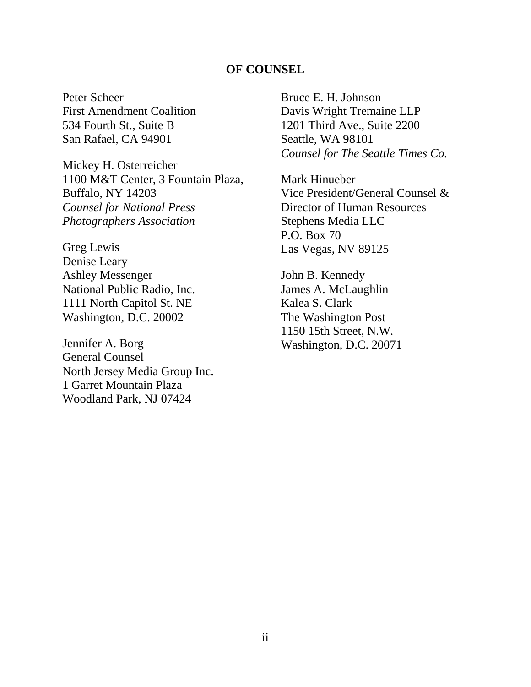#### **OF COUNSEL**

<span id="page-1-0"></span>Peter Scheer First Amendment Coalition 534 Fourth St., Suite B San Rafael, CA 94901

Mickey H. Osterreicher 1100 M&T Center, 3 Fountain Plaza, Buffalo, NY 14203 *Counsel for National Press Photographers Association*

Greg Lewis Denise Leary Ashley Messenger National Public Radio, Inc. 1111 North Capitol St. NE Washington, D.C. 20002

Jennifer A. Borg General Counsel North Jersey Media Group Inc. 1 Garret Mountain Plaza Woodland Park, NJ 07424

Bruce E. H. Johnson Davis Wright Tremaine LLP 1201 Third Ave., Suite 2200 Seattle, WA 98101 *Counsel for The Seattle Times Co.*

Mark Hinueber Vice President/General Counsel & Director of Human Resources Stephens Media LLC P.O. Box 70 Las Vegas, NV 89125

John B. Kennedy James A. McLaughlin Kalea S. Clark The Washington Post 1150 15th Street, N.W. Washington, D.C. 20071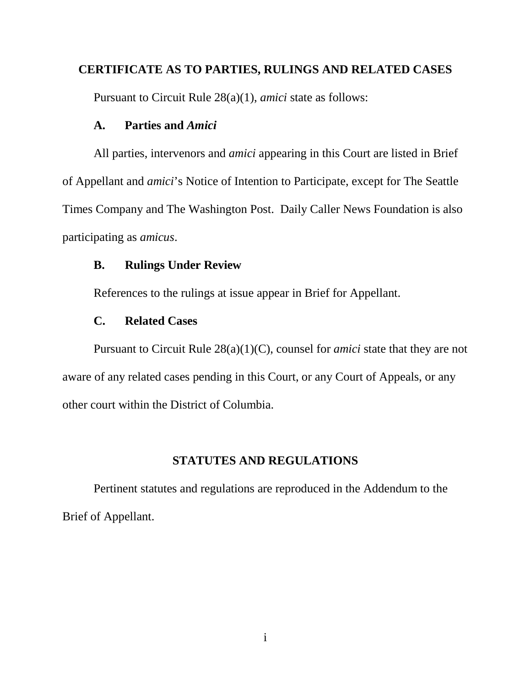### <span id="page-2-0"></span>**CERTIFICATE AS TO PARTIES, RULINGS AND RELATED CASES**

Pursuant to Circuit Rule 28(a)(1), *amici* state as follows:

### **A. Parties and** *Amici*

All parties, intervenors and *amici* appearing in this Court are listed in Brief of Appellant and *amici*'s Notice of Intention to Participate, except for The Seattle Times Company and The Washington Post. Daily Caller News Foundation is also participating as *amicus*.

## **B. Rulings Under Review**

References to the rulings at issue appear in Brief for Appellant.

## **C. Related Cases**

Pursuant to Circuit Rule 28(a)(1)(C), counsel for *amici* state that they are not aware of any related cases pending in this Court, or any Court of Appeals, or any other court within the District of Columbia.

## **STATUTES AND REGULATIONS**

<span id="page-2-1"></span>Pertinent statutes and regulations are reproduced in the Addendum to the Brief of Appellant.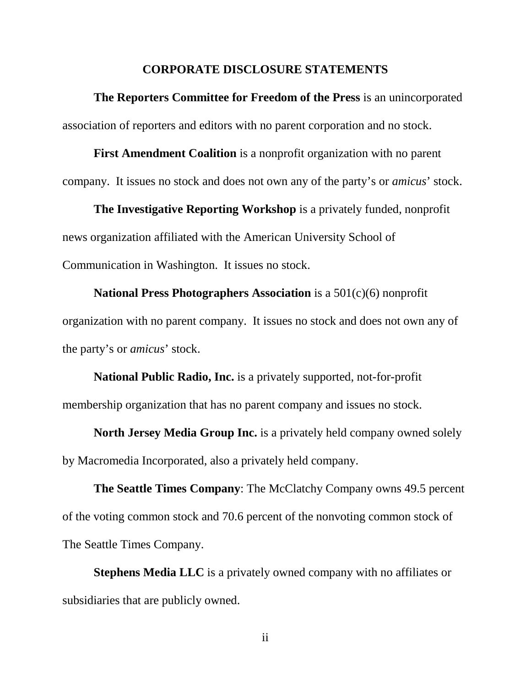#### **CORPORATE DISCLOSURE STATEMENTS**

<span id="page-3-0"></span>**The Reporters Committee for Freedom of the Press** is an unincorporated association of reporters and editors with no parent corporation and no stock.

**First Amendment Coalition** is a nonprofit organization with no parent company. It issues no stock and does not own any of the party's or *amicus*' stock.

**The Investigative Reporting Workshop** is a privately funded, nonprofit news organization affiliated with the American University School of Communication in Washington. It issues no stock.

**National Press Photographers Association** is a 501(c)(6) nonprofit organization with no parent company. It issues no stock and does not own any of the party's or *amicus*' stock.

**National Public Radio, Inc.** is a privately supported, not-for-profit membership organization that has no parent company and issues no stock.

**North Jersey Media Group Inc.** is a privately held company owned solely by Macromedia Incorporated, also a privately held company.

**The Seattle Times Company**: The McClatchy Company owns 49.5 percent of the voting common stock and 70.6 percent of the nonvoting common stock of The Seattle Times Company.

**Stephens Media LLC** is a privately owned company with no affiliates or subsidiaries that are publicly owned.

ii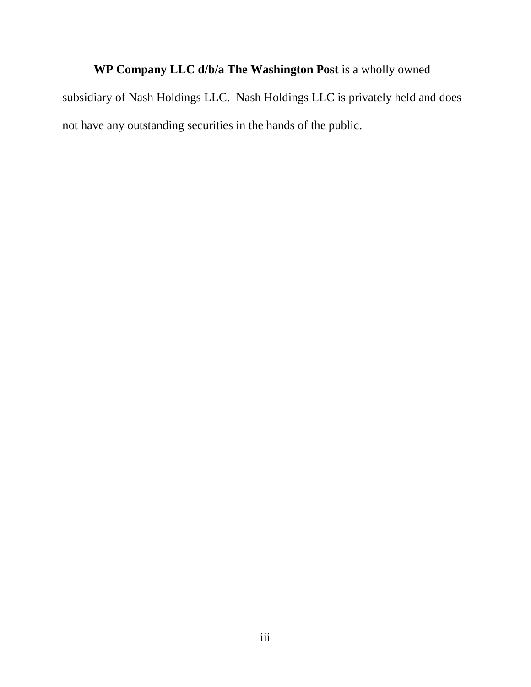# **WP Company LLC d/b/a The Washington Post** is a wholly owned

subsidiary of Nash Holdings LLC. Nash Holdings LLC is privately held and does not have any outstanding securities in the hands of the public.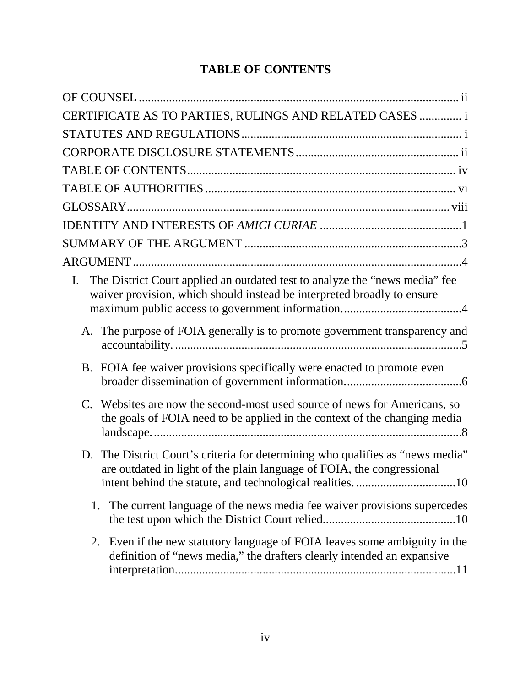## **TABLE OF CONTENTS**

<span id="page-5-0"></span>

| CERTIFICATE AS TO PARTIES, RULINGS AND RELATED CASES  i                                                                                                      |  |  |  |  |
|--------------------------------------------------------------------------------------------------------------------------------------------------------------|--|--|--|--|
|                                                                                                                                                              |  |  |  |  |
|                                                                                                                                                              |  |  |  |  |
|                                                                                                                                                              |  |  |  |  |
|                                                                                                                                                              |  |  |  |  |
|                                                                                                                                                              |  |  |  |  |
|                                                                                                                                                              |  |  |  |  |
|                                                                                                                                                              |  |  |  |  |
|                                                                                                                                                              |  |  |  |  |
| The District Court applied an outdated test to analyze the "news media" fee<br>I.<br>waiver provision, which should instead be interpreted broadly to ensure |  |  |  |  |
| A. The purpose of FOIA generally is to promote government transparency and                                                                                   |  |  |  |  |
| B. FOIA fee waiver provisions specifically were enacted to promote even                                                                                      |  |  |  |  |
| C. Websites are now the second-most used source of news for Americans, so<br>the goals of FOIA need to be applied in the context of the changing media       |  |  |  |  |
| D. The District Court's criteria for determining who qualifies as "news media"<br>are outdated in light of the plain language of FOIA, the congressional     |  |  |  |  |
| The current language of the news media fee waiver provisions supercedes<br>1.                                                                                |  |  |  |  |
| Even if the new statutory language of FOIA leaves some ambiguity in the<br>2.<br>definition of "news media," the drafters clearly intended an expansive      |  |  |  |  |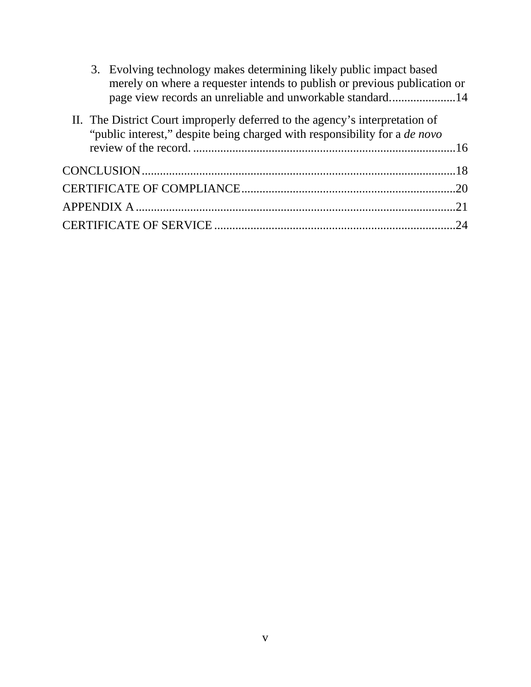|  | 3. Evolving technology makes determining likely public impact based<br>merely on where a requester intends to publish or previous publication or<br>page view records an unreliable and unworkable standard14 |  |
|--|---------------------------------------------------------------------------------------------------------------------------------------------------------------------------------------------------------------|--|
|  | II. The District Court improperly deferred to the agency's interpretation of<br>"public interest," despite being charged with responsibility for a <i>de novo</i>                                             |  |
|  |                                                                                                                                                                                                               |  |
|  |                                                                                                                                                                                                               |  |
|  |                                                                                                                                                                                                               |  |
|  | APPENDIX A …………………………………………………………………………………………21                                                                                                                                                               |  |
|  |                                                                                                                                                                                                               |  |
|  |                                                                                                                                                                                                               |  |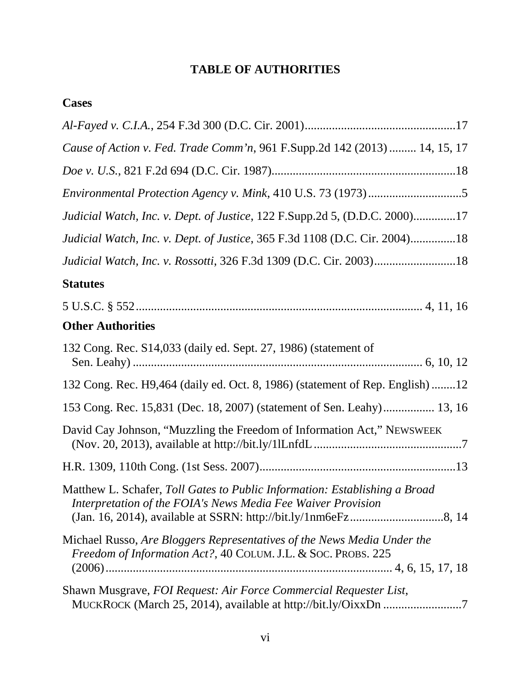## **TABLE OF AUTHORITIES**

## <span id="page-7-0"></span>**Cases**

| Cause of Action v. Fed. Trade Comm'n, 961 F.Supp.2d 142 (2013)  14, 15, 17                                                                 |
|--------------------------------------------------------------------------------------------------------------------------------------------|
|                                                                                                                                            |
|                                                                                                                                            |
| Judicial Watch, Inc. v. Dept. of Justice, 122 F.Supp.2d 5, (D.D.C. 2000)17                                                                 |
| Judicial Watch, Inc. v. Dept. of Justice, 365 F.3d 1108 (D.C. Cir. 2004)18                                                                 |
| Judicial Watch, Inc. v. Rossotti, 326 F.3d 1309 (D.C. Cir. 2003)18                                                                         |
| <b>Statutes</b>                                                                                                                            |
|                                                                                                                                            |
| <b>Other Authorities</b>                                                                                                                   |
| 132 Cong. Rec. S14,033 (daily ed. Sept. 27, 1986) (statement of                                                                            |
| 132 Cong. Rec. H9,464 (daily ed. Oct. 8, 1986) (statement of Rep. English) 12                                                              |
| 153 Cong. Rec. 15,831 (Dec. 18, 2007) (statement of Sen. Leahy) 13, 16                                                                     |
| David Cay Johnson, "Muzzling the Freedom of Information Act," NEWSWEEK                                                                     |
|                                                                                                                                            |
| Matthew L. Schafer, Toll Gates to Public Information: Establishing a Broad<br>Interpretation of the FOIA's News Media Fee Waiver Provision |
| Michael Russo, Are Bloggers Representatives of the News Media Under the<br>Freedom of Information Act?, 40 COLUM. J.L. & SOC. PROBS. 225   |
| Shawn Musgrave, FOI Request: Air Force Commercial Requester List,<br>MUCKROCK (March 25, 2014), available at http://bit.ly/OixxDn 7        |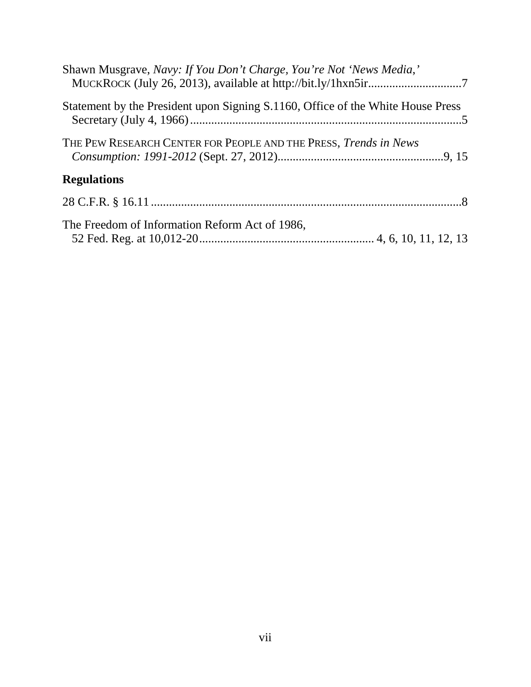| Shawn Musgrave, Navy: If You Don't Charge, You're Not 'News Media,'             |
|---------------------------------------------------------------------------------|
| Statement by the President upon Signing S.1160, Office of the White House Press |
| THE PEW RESEARCH CENTER FOR PEOPLE AND THE PRESS, <i>Trends in News</i>         |
| <b>Regulations</b>                                                              |
|                                                                                 |
| The Freedom of Information Reform Act of 1986,                                  |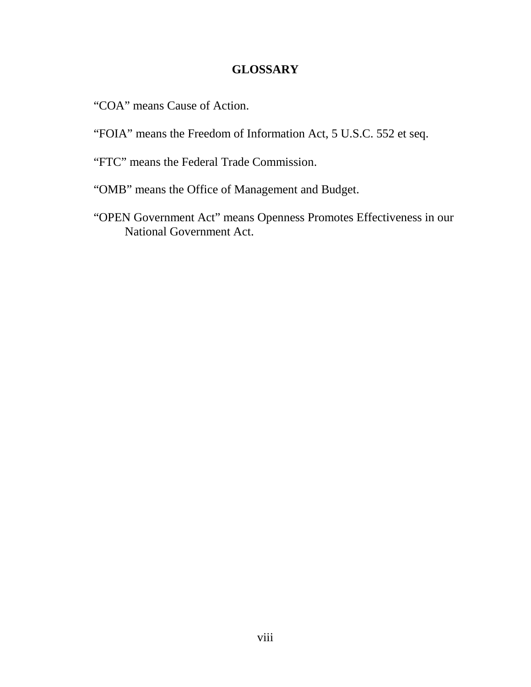## **GLOSSARY**

- <span id="page-9-0"></span>"COA" means Cause of Action.
- "FOIA" means the Freedom of Information Act, 5 U.S.C. 552 et seq.
- "FTC" means the Federal Trade Commission.
- "OMB" means the Office of Management and Budget.
- "OPEN Government Act" means Openness Promotes Effectiveness in our National Government Act.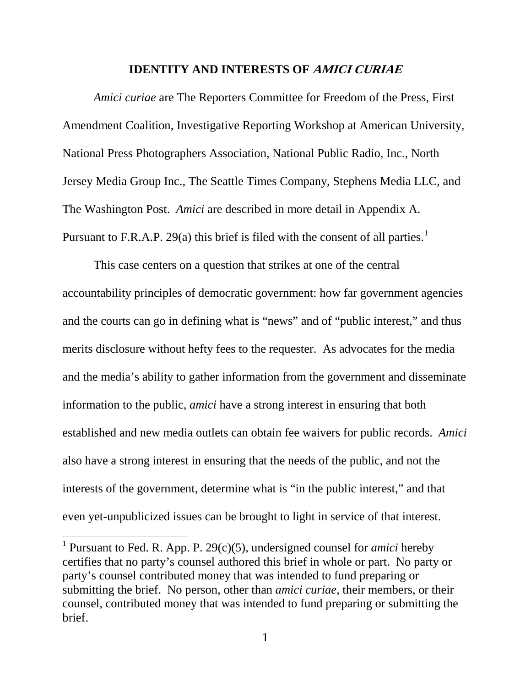#### **IDENTITY AND INTERESTS OF AMICI CURIAE**

<span id="page-10-0"></span>*Amici curiae* are The Reporters Committee for Freedom of the Press, First Amendment Coalition, Investigative Reporting Workshop at American University, National Press Photographers Association, National Public Radio, Inc., North Jersey Media Group Inc., The Seattle Times Company, Stephens Media LLC, and The Washington Post. *Amici* are described in more detail in Appendix A. Pursuant to F.R.A.P. 29(a) this brief is filed with the consent of all parties.<sup>[1](#page-10-1)</sup>

This case centers on a question that strikes at one of the central accountability principles of democratic government: how far government agencies and the courts can go in defining what is "news" and of "public interest," and thus merits disclosure without hefty fees to the requester. As advocates for the media and the media's ability to gather information from the government and disseminate information to the public, *amici* have a strong interest in ensuring that both established and new media outlets can obtain fee waivers for public records. *Amici* also have a strong interest in ensuring that the needs of the public, and not the interests of the government, determine what is "in the public interest," and that even yet-unpublicized issues can be brought to light in service of that interest.

<span id="page-10-1"></span><sup>&</sup>lt;sup>1</sup> Pursuant to Fed. R. App. P. 29 $(c)(5)$ , undersigned counsel for *amici* hereby certifies that no party's counsel authored this brief in whole or part. No party or party's counsel contributed money that was intended to fund preparing or submitting the brief. No person, other than *amici curiae*, their members, or their counsel, contributed money that was intended to fund preparing or submitting the brief.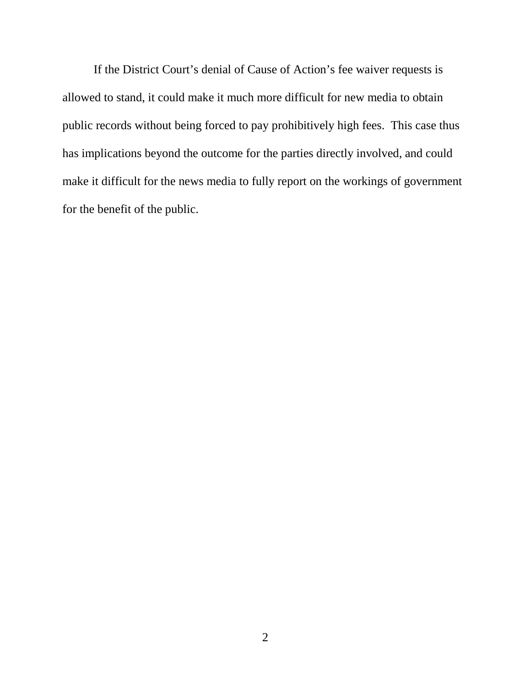If the District Court's denial of Cause of Action's fee waiver requests is allowed to stand, it could make it much more difficult for new media to obtain public records without being forced to pay prohibitively high fees. This case thus has implications beyond the outcome for the parties directly involved, and could make it difficult for the news media to fully report on the workings of government for the benefit of the public.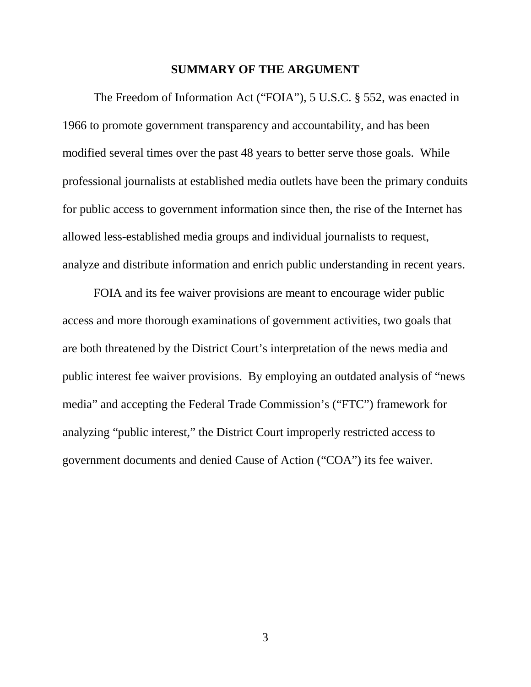#### **SUMMARY OF THE ARGUMENT**

<span id="page-12-0"></span>The Freedom of Information Act ("FOIA"), 5 U.S.C. § 552, was enacted in 1966 to promote government transparency and accountability, and has been modified several times over the past 48 years to better serve those goals. While professional journalists at established media outlets have been the primary conduits for public access to government information since then, the rise of the Internet has allowed less-established media groups and individual journalists to request, analyze and distribute information and enrich public understanding in recent years.

FOIA and its fee waiver provisions are meant to encourage wider public access and more thorough examinations of government activities, two goals that are both threatened by the District Court's interpretation of the news media and public interest fee waiver provisions. By employing an outdated analysis of "news media" and accepting the Federal Trade Commission's ("FTC") framework for analyzing "public interest," the District Court improperly restricted access to government documents and denied Cause of Action ("COA") its fee waiver.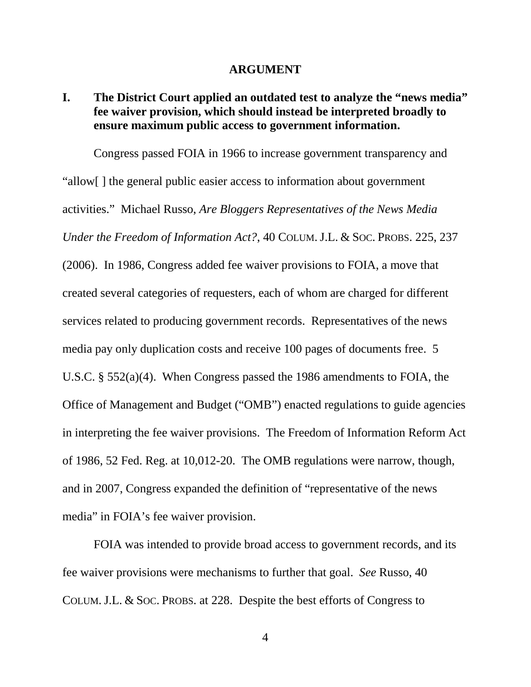#### **ARGUMENT**

## <span id="page-13-1"></span><span id="page-13-0"></span>**I. The District Court applied an outdated test to analyze the "news media" fee waiver provision, which should instead be interpreted broadly to ensure maximum public access to government information.**

Congress passed FOIA in 1966 to increase government transparency and "allow[ ] the general public easier access to information about government activities." Michael Russo, *Are Bloggers Representatives of the News Media Under the Freedom of Information Act?*, 40 COLUM.J.L. & SOC. PROBS. 225, 237 (2006). In 1986, Congress added fee waiver provisions to FOIA, a move that created several categories of requesters, each of whom are charged for different services related to producing government records. Representatives of the news media pay only duplication costs and receive 100 pages of documents free. 5 U.S.C. § 552(a)(4). When Congress passed the 1986 amendments to FOIA, the Office of Management and Budget ("OMB") enacted regulations to guide agencies in interpreting the fee waiver provisions. The Freedom of Information Reform Act of 1986, 52 Fed. Reg. at 10,012-20. The OMB regulations were narrow, though, and in 2007, Congress expanded the definition of "representative of the news media" in FOIA's fee waiver provision.

FOIA was intended to provide broad access to government records, and its fee waiver provisions were mechanisms to further that goal. *See* Russo, 40 COLUM.J.L. & SOC. PROBS. at 228. Despite the best efforts of Congress to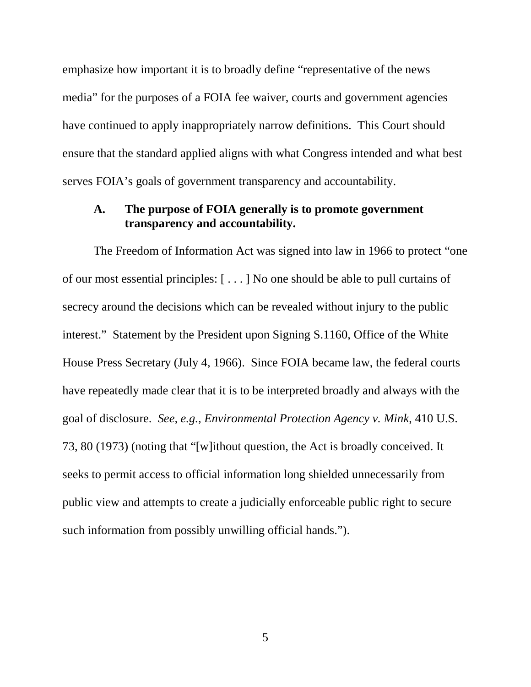emphasize how important it is to broadly define "representative of the news media" for the purposes of a FOIA fee waiver, courts and government agencies have continued to apply inappropriately narrow definitions. This Court should ensure that the standard applied aligns with what Congress intended and what best serves FOIA's goals of government transparency and accountability.

### <span id="page-14-0"></span>**A. The purpose of FOIA generally is to promote government transparency and accountability.**

The Freedom of Information Act was signed into law in 1966 to protect "one of our most essential principles: [ . . . ] No one should be able to pull curtains of secrecy around the decisions which can be revealed without injury to the public interest." Statement by the President upon Signing S.1160, Office of the White House Press Secretary (July 4, 1966). Since FOIA became law, the federal courts have repeatedly made clear that it is to be interpreted broadly and always with the goal of disclosure. *See, e.g., Environmental Protection Agency v. Mink*, 410 U.S. 73, 80 (1973) (noting that "[w]ithout question, the Act is broadly conceived. It seeks to permit access to official information long shielded unnecessarily from public view and attempts to create a judicially enforceable public right to secure such information from possibly unwilling official hands.").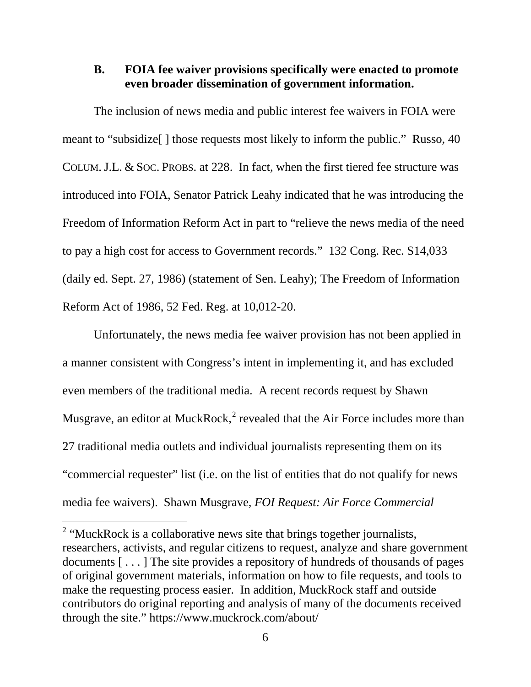## <span id="page-15-0"></span>**B. FOIA fee waiver provisions specifically were enacted to promote even broader dissemination of government information.**

The inclusion of news media and public interest fee waivers in FOIA were meant to "subsidize[ ] those requests most likely to inform the public." Russo, 40 COLUM.J.L. & SOC. PROBS. at 228. In fact, when the first tiered fee structure was introduced into FOIA, Senator Patrick Leahy indicated that he was introducing the Freedom of Information Reform Act in part to "relieve the news media of the need to pay a high cost for access to Government records." 132 Cong. Rec. S14,033 (daily ed. Sept. 27, 1986) (statement of Sen. Leahy); The Freedom of Information Reform Act of 1986, 52 Fed. Reg. at 10,012-20.

Unfortunately, the news media fee waiver provision has not been applied in a manner consistent with Congress's intent in implementing it, and has excluded even members of the traditional media. A recent records request by Shawn Musgrave, an editor at MuckRock, $<sup>2</sup>$  $<sup>2</sup>$  $<sup>2</sup>$  revealed that the Air Force includes more than</sup> 27 traditional media outlets and individual journalists representing them on its "commercial requester" list (i.e. on the list of entities that do not qualify for news media fee waivers). Shawn Musgrave, *FOI Request: Air Force Commercial* 

<span id="page-15-1"></span><sup>&</sup>lt;sup>2</sup> "MuckRock is a collaborative news site that brings together journalists, researchers, activists, and regular citizens to request, analyze and share government documents [ . . . ] The site provides a repository of hundreds of thousands of pages of original government materials, information on how to file requests, and tools to make the requesting process easier. In addition, MuckRock staff and outside contributors do original reporting and analysis of many of the documents received through the site." https://www.muckrock.com/about/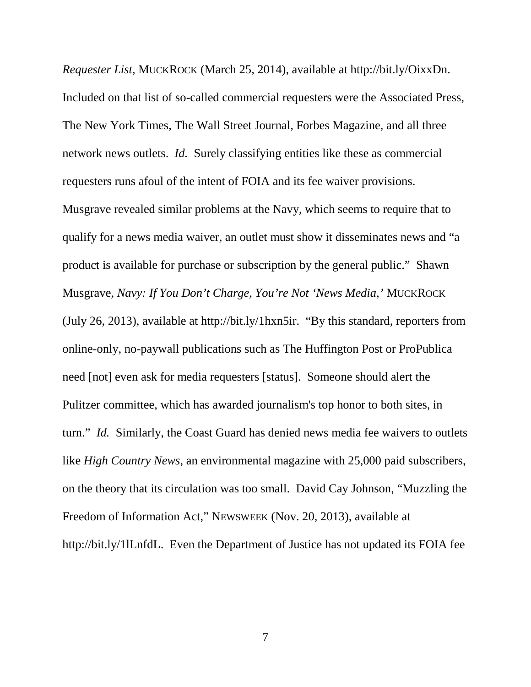*Requester List*, MUCKROCK (March 25, 2014), available at http://bit.ly/OixxDn. Included on that list of so-called commercial requesters were the Associated Press, The New York Times, The Wall Street Journal, Forbes Magazine, and all three network news outlets. *Id.* Surely classifying entities like these as commercial requesters runs afoul of the intent of FOIA and its fee waiver provisions. Musgrave revealed similar problems at the Navy, which seems to require that to qualify for a news media waiver, an outlet must show it disseminates news and "a product is available for purchase or subscription by the general public." Shawn Musgrave, *Navy: If You Don't Charge, You're Not 'News Media*,*'* MUCKROCK (July 26, 2013), available at http://bit.ly/1hxn5ir. "By this standard, reporters from online-only, no-paywall publications such as The Huffington Post or ProPublica need [not] even ask for media requesters [status]. Someone should alert the Pulitzer committee, which has awarded journalism's top honor to both sites, in turn." *Id.* Similarly, the Coast Guard has denied news media fee waivers to outlets like *High Country News*, an environmental magazine with 25,000 paid subscribers, on the theory that its circulation was too small. David Cay Johnson, "Muzzling the Freedom of Information Act," NEWSWEEK (Nov. 20, 2013), available at http://bit.ly/1lLnfdL. Even the Department of Justice has not updated its FOIA fee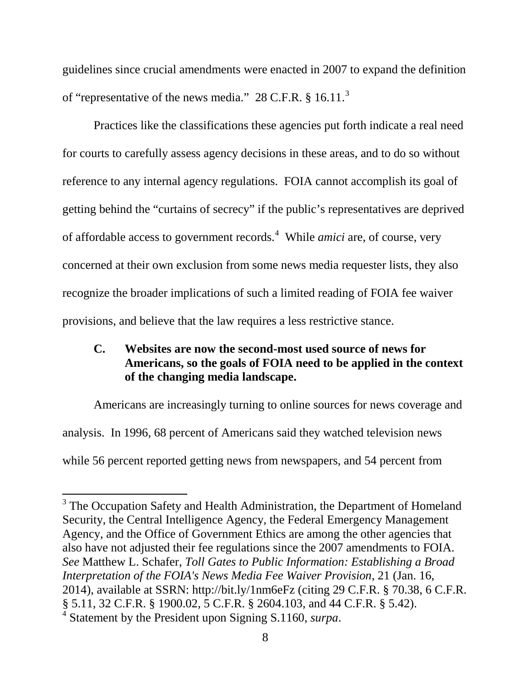guidelines since crucial amendments were enacted in 2007 to expand the definition of "representative of the news media." 28 C.F.R.  $§$  16.11.<sup>[3](#page-17-1)</sup>

Practices like the classifications these agencies put forth indicate a real need for courts to carefully assess agency decisions in these areas, and to do so without reference to any internal agency regulations. FOIA cannot accomplish its goal of getting behind the "curtains of secrecy" if the public's representatives are deprived of affordable access to government records.<sup>[4](#page-17-2)</sup> While *amici* are, of course, very concerned at their own exclusion from some news media requester lists, they also recognize the broader implications of such a limited reading of FOIA fee waiver provisions, and believe that the law requires a less restrictive stance.

## <span id="page-17-0"></span>**C. Websites are now the second-most used source of news for Americans, so the goals of FOIA need to be applied in the context of the changing media landscape.**

Americans are increasingly turning to online sources for news coverage and analysis. In 1996, 68 percent of Americans said they watched television news while 56 percent reported getting news from newspapers, and 54 percent from

<span id="page-17-2"></span><span id="page-17-1"></span><sup>&</sup>lt;sup>3</sup> The Occupation Safety and Health Administration, the Department of Homeland Security, the Central Intelligence Agency, the Federal Emergency Management Agency, and the Office of Government Ethics are among the other agencies that also have not adjusted their fee regulations since the 2007 amendments to FOIA. *See* Matthew L. Schafer, *Toll Gates to Public Information: Establishing a Broad Interpretation of the FOIA's News Media Fee Waiver Provision*, 21 (Jan. 16, 2014), available at SSRN: http://bit.ly/1nm6eFz (citing 29 C.F.R. § 70.38, 6 C.F.R. § 5.11, 32 C.F.R. § 1900.02, 5 C.F.R. § 2604.103, and 44 C.F.R. § 5.42). <sup>4</sup> Statement by the President upon Signing S.1160, *surpa*.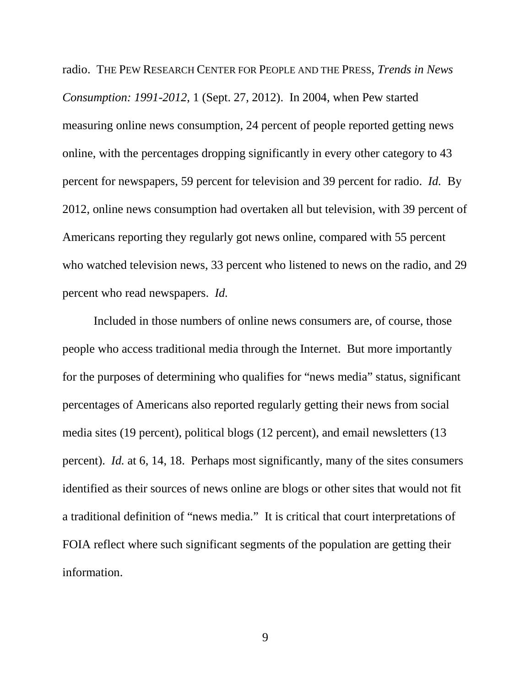radio. THE PEW RESEARCH CENTER FOR PEOPLE AND THE PRESS, *Trends in News Consumption: 1991-2012*, 1 (Sept. 27, 2012). In 2004, when Pew started measuring online news consumption, 24 percent of people reported getting news online, with the percentages dropping significantly in every other category to 43 percent for newspapers, 59 percent for television and 39 percent for radio. *Id.* By 2012, online news consumption had overtaken all but television, with 39 percent of Americans reporting they regularly got news online, compared with 55 percent who watched television news, 33 percent who listened to news on the radio, and 29 percent who read newspapers. *Id.*

Included in those numbers of online news consumers are, of course, those people who access traditional media through the Internet. But more importantly for the purposes of determining who qualifies for "news media" status, significant percentages of Americans also reported regularly getting their news from social media sites (19 percent), political blogs (12 percent), and email newsletters (13 percent). *Id.* at 6, 14, 18. Perhaps most significantly, many of the sites consumers identified as their sources of news online are blogs or other sites that would not fit a traditional definition of "news media." It is critical that court interpretations of FOIA reflect where such significant segments of the population are getting their information.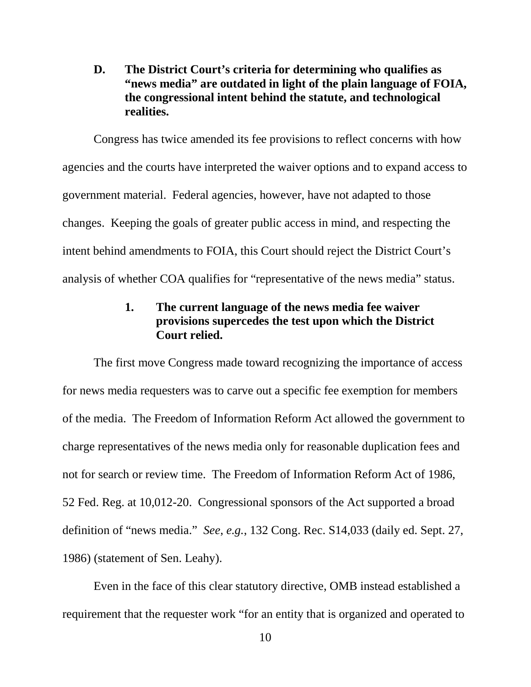<span id="page-19-0"></span>**D. The District Court's criteria for determining who qualifies as "news media" are outdated in light of the plain language of FOIA, the congressional intent behind the statute, and technological realities.**

Congress has twice amended its fee provisions to reflect concerns with how agencies and the courts have interpreted the waiver options and to expand access to government material. Federal agencies, however, have not adapted to those changes. Keeping the goals of greater public access in mind, and respecting the intent behind amendments to FOIA, this Court should reject the District Court's analysis of whether COA qualifies for "representative of the news media" status.

## **1. The current language of the news media fee waiver provisions supercedes the test upon which the District Court relied.**

<span id="page-19-1"></span>The first move Congress made toward recognizing the importance of access for news media requesters was to carve out a specific fee exemption for members of the media. The Freedom of Information Reform Act allowed the government to charge representatives of the news media only for reasonable duplication fees and not for search or review time. The Freedom of Information Reform Act of 1986, 52 Fed. Reg. at 10,012-20. Congressional sponsors of the Act supported a broad definition of "news media." *See*, *e.g.*, 132 Cong. Rec. S14,033 (daily ed. Sept. 27, 1986) (statement of Sen. Leahy).

Even in the face of this clear statutory directive, OMB instead established a requirement that the requester work "for an entity that is organized and operated to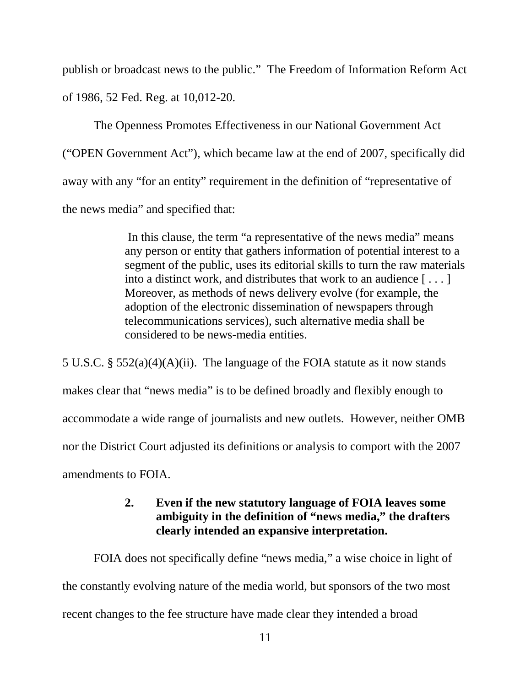publish or broadcast news to the public." The Freedom of Information Reform Act of 1986, 52 Fed. Reg. at 10,012-20.

The Openness Promotes Effectiveness in our National Government Act ("OPEN Government Act"), which became law at the end of 2007, specifically did away with any "for an entity" requirement in the definition of "representative of the news media" and specified that:

> In this clause, the term "a representative of the news media" means any person or entity that gathers information of potential interest to a segment of the public, uses its editorial skills to turn the raw materials into a distinct work, and distributes that work to an audience [ . . . ] Moreover, as methods of news delivery evolve (for example, the adoption of the electronic dissemination of newspapers through telecommunications services), such alternative media shall be considered to be news-media entities.

5 U.S.C. § 552(a)(4)(A)(ii). The language of the FOIA statute as it now stands makes clear that "news media" is to be defined broadly and flexibly enough to accommodate a wide range of journalists and new outlets. However, neither OMB nor the District Court adjusted its definitions or analysis to comport with the 2007 amendments to FOIA.

## **2. Even if the new statutory language of FOIA leaves some ambiguity in the definition of "news media," the drafters clearly intended an expansive interpretation.**

<span id="page-20-0"></span>FOIA does not specifically define "news media," a wise choice in light of the constantly evolving nature of the media world, but sponsors of the two most recent changes to the fee structure have made clear they intended a broad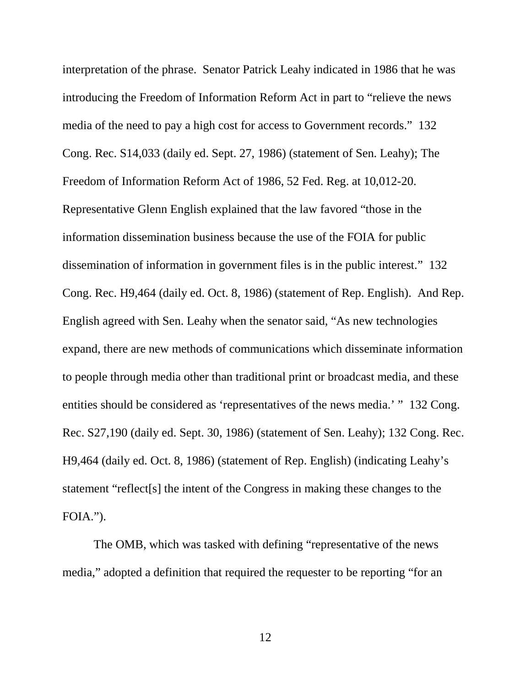interpretation of the phrase. Senator Patrick Leahy indicated in 1986 that he was introducing the Freedom of Information Reform Act in part to "relieve the news media of the need to pay a high cost for access to Government records." 132 Cong. Rec. S14,033 (daily ed. Sept. 27, 1986) (statement of Sen. Leahy); The Freedom of Information Reform Act of 1986, 52 Fed. Reg. at 10,012-20. Representative Glenn English explained that the law favored "those in the information dissemination business because the use of the FOIA for public dissemination of information in government files is in the public interest." 132 Cong. Rec. H9,464 (daily ed. Oct. 8, 1986) (statement of Rep. English). And Rep. English agreed with Sen. Leahy when the senator said, "As new technologies expand, there are new methods of communications which disseminate information to people through media other than traditional print or broadcast media, and these entities should be considered as 'representatives of the news media.' " 132 Cong. Rec. S27,190 (daily ed. Sept. 30, 1986) (statement of Sen. Leahy); 132 Cong. Rec. H9,464 (daily ed. Oct. 8, 1986) (statement of Rep. English) (indicating Leahy's statement "reflect[s] the intent of the Congress in making these changes to the FOIA.").

The OMB, which was tasked with defining "representative of the news media," adopted a definition that required the requester to be reporting "for an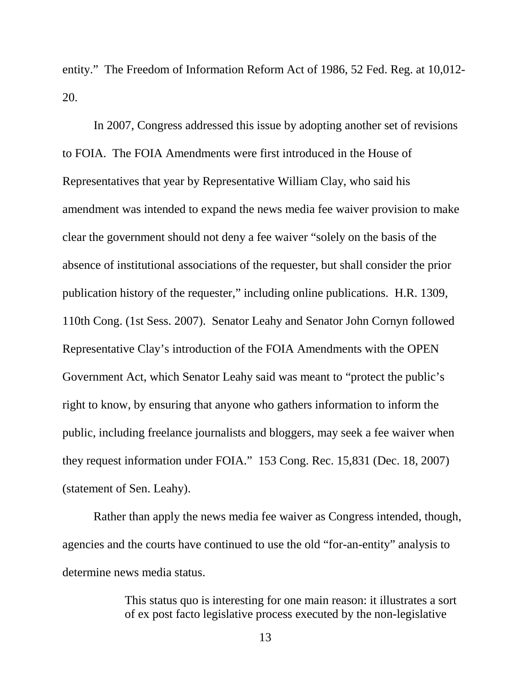entity." The Freedom of Information Reform Act of 1986, 52 Fed. Reg. at 10,012- 20.

In 2007, Congress addressed this issue by adopting another set of revisions to FOIA. The FOIA Amendments were first introduced in the House of Representatives that year by Representative William Clay, who said his amendment was intended to expand the news media fee waiver provision to make clear the government should not deny a fee waiver "solely on the basis of the absence of institutional associations of the requester, but shall consider the prior publication history of the requester," including online publications. H.R. 1309, 110th Cong. (1st Sess. 2007). Senator Leahy and Senator John Cornyn followed Representative Clay's introduction of the FOIA Amendments with the OPEN Government Act, which Senator Leahy said was meant to "protect the public's right to know, by ensuring that anyone who gathers information to inform the public, including freelance journalists and bloggers, may seek a fee waiver when they request information under FOIA." 153 Cong. Rec. 15,831 (Dec. 18, 2007) (statement of Sen. Leahy).

Rather than apply the news media fee waiver as Congress intended, though, agencies and the courts have continued to use the old "for-an-entity" analysis to determine news media status.

> This status quo is interesting for one main reason: it illustrates a sort of ex post facto legislative process executed by the non-legislative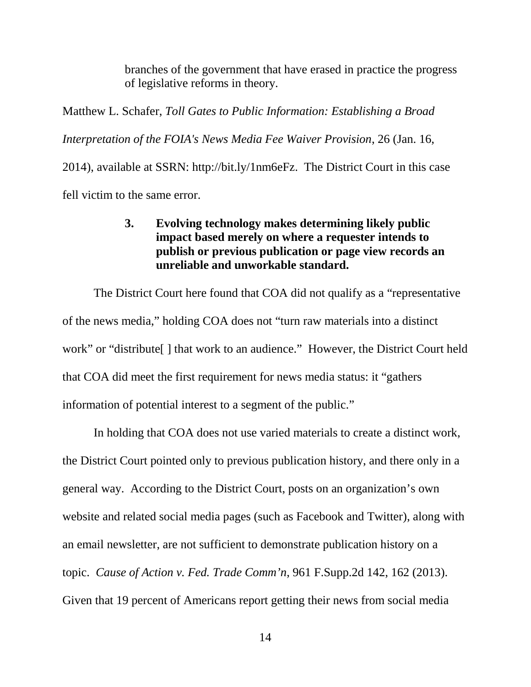branches of the government that have erased in practice the progress of legislative reforms in theory.

Matthew L. Schafer, *Toll Gates to Public Information: Establishing a Broad Interpretation of the FOIA's News Media Fee Waiver Provision*, 26 (Jan. 16, 2014), available at SSRN: http://bit.ly/1nm6eFz. The District Court in this case

<span id="page-23-0"></span>fell victim to the same error.

## **3. Evolving technology makes determining likely public impact based merely on where a requester intends to publish or previous publication or page view records an unreliable and unworkable standard.**

The District Court here found that COA did not qualify as a "representative of the news media," holding COA does not "turn raw materials into a distinct work" or "distribute[ ] that work to an audience." However, the District Court held that COA did meet the first requirement for news media status: it "gathers information of potential interest to a segment of the public."

In holding that COA does not use varied materials to create a distinct work, the District Court pointed only to previous publication history, and there only in a general way. According to the District Court, posts on an organization's own website and related social media pages (such as Facebook and Twitter), along with an email newsletter, are not sufficient to demonstrate publication history on a topic. *Cause of Action v. Fed. Trade Comm'n*, 961 F.Supp.2d 142, 162 (2013). Given that 19 percent of Americans report getting their news from social media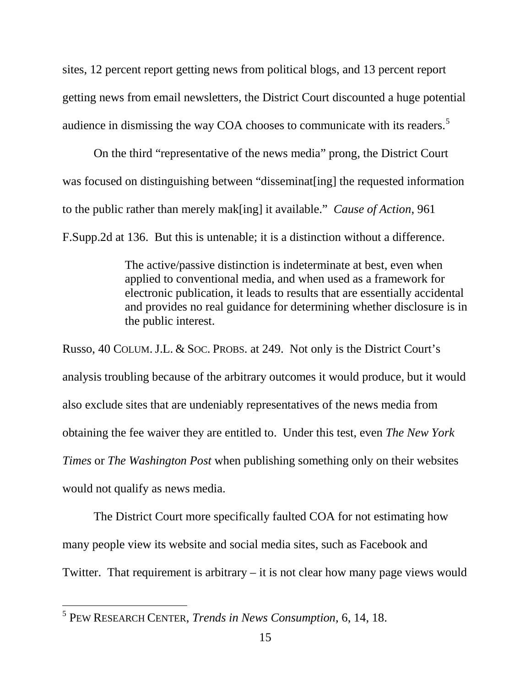sites, 12 percent report getting news from political blogs, and 13 percent report getting news from email newsletters, the District Court discounted a huge potential audience in dismissing the way COA chooses to communicate with its readers.<sup>[5](#page-24-0)</sup>

On the third "representative of the news media" prong, the District Court was focused on distinguishing between "disseminat[ing] the requested information to the public rather than merely mak[ing] it available." *Cause of Action*, 961

F.Supp.2d at 136. But this is untenable; it is a distinction without a difference.

The active/passive distinction is indeterminate at best, even when applied to conventional media, and when used as a framework for electronic publication, it leads to results that are essentially accidental and provides no real guidance for determining whether disclosure is in the public interest.

Russo, 40 COLUM.J.L. & SOC. PROBS. at 249. Not only is the District Court's analysis troubling because of the arbitrary outcomes it would produce, but it would also exclude sites that are undeniably representatives of the news media from obtaining the fee waiver they are entitled to. Under this test, even *The New York Times* or *The Washington Post* when publishing something only on their websites would not qualify as news media.

The District Court more specifically faulted COA for not estimating how many people view its website and social media sites, such as Facebook and Twitter. That requirement is arbitrary – it is not clear how many page views would

<span id="page-24-0"></span><sup>5</sup> PEW RESEARCH CENTER, *Trends in News Consumption*, 6, 14, 18.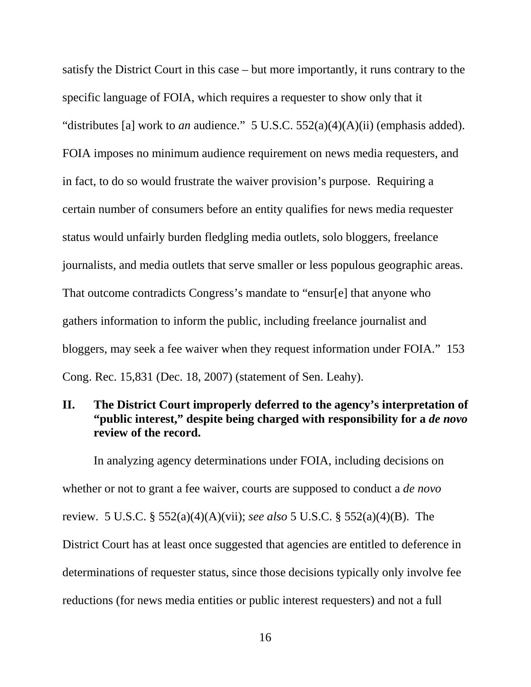satisfy the District Court in this case – but more importantly, it runs contrary to the specific language of FOIA, which requires a requester to show only that it "distributes [a] work to *an* audience." 5 U.S.C. 552(a)(4)(A)(ii) (emphasis added). FOIA imposes no minimum audience requirement on news media requesters, and in fact, to do so would frustrate the waiver provision's purpose. Requiring a certain number of consumers before an entity qualifies for news media requester status would unfairly burden fledgling media outlets, solo bloggers, freelance journalists, and media outlets that serve smaller or less populous geographic areas. That outcome contradicts Congress's mandate to "ensur[e] that anyone who gathers information to inform the public, including freelance journalist and bloggers, may seek a fee waiver when they request information under FOIA." 153 Cong. Rec. 15,831 (Dec. 18, 2007) (statement of Sen. Leahy).

## <span id="page-25-0"></span>**II. The District Court improperly deferred to the agency's interpretation of "public interest," despite being charged with responsibility for a** *de novo*  **review of the record.**

In analyzing agency determinations under FOIA, including decisions on whether or not to grant a fee waiver, courts are supposed to conduct a *de novo* review. 5 U.S.C. § 552(a)(4)(A)(vii); *see also* 5 U.S.C. § 552(a)(4)(B). The District Court has at least once suggested that agencies are entitled to deference in determinations of requester status, since those decisions typically only involve fee reductions (for news media entities or public interest requesters) and not a full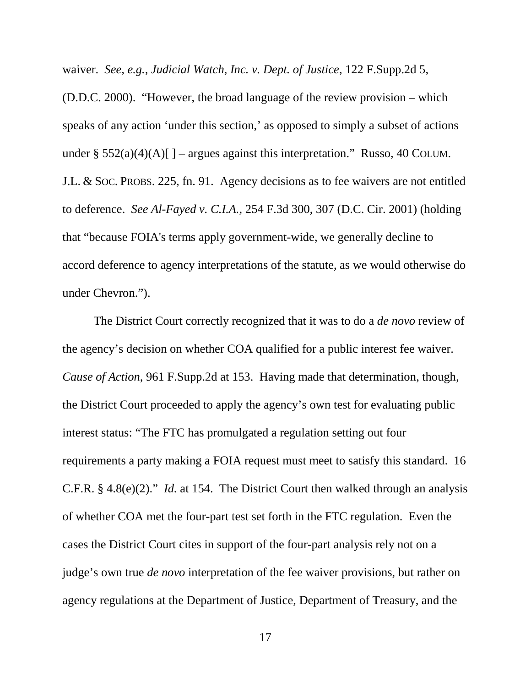waiver. *See, e.g., Judicial Watch, Inc. v. Dept. of Justice*, 122 F.Supp.2d 5,

(D.D.C. 2000). "However, the broad language of the review provision – which speaks of any action 'under this section,' as opposed to simply a subset of actions under § 552(a)(4)(A)[] – argues against this interpretation." Russo, 40 COLUM. J.L. & SOC. PROBS. 225, fn. 91. Agency decisions as to fee waivers are not entitled to deference. *See Al-Fayed v. C.I.A.*, 254 F.3d 300, 307 (D.C. Cir. 2001) (holding that "because FOIA's terms apply government-wide, we generally decline to accord deference to agency interpretations of the statute, as we would otherwise do under Chevron.").

The District Court correctly recognized that it was to do a *de novo* review of the agency's decision on whether COA qualified for a public interest fee waiver. *Cause of Action*, 961 F.Supp.2d at 153. Having made that determination, though, the District Court proceeded to apply the agency's own test for evaluating public interest status: "The FTC has promulgated a regulation setting out four requirements a party making a FOIA request must meet to satisfy this standard. 16 C.F.R. § 4.8(e)(2)." *Id.* at 154. The District Court then walked through an analysis of whether COA met the four-part test set forth in the FTC regulation. Even the cases the District Court cites in support of the four-part analysis rely not on a judge's own true *de novo* interpretation of the fee waiver provisions, but rather on agency regulations at the Department of Justice, Department of Treasury, and the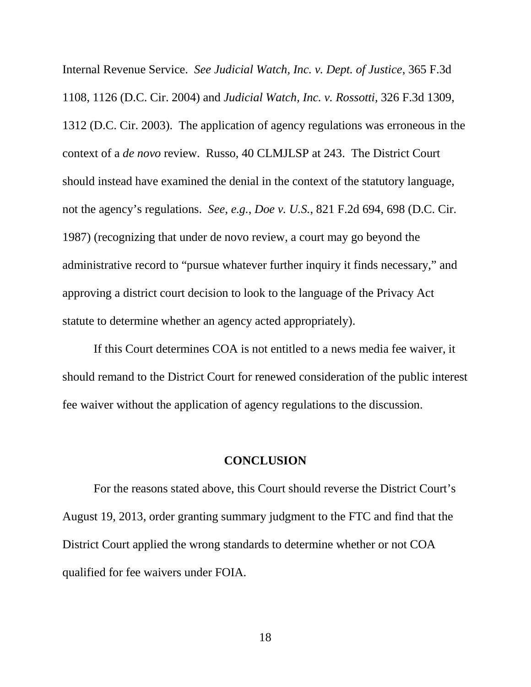Internal Revenue Service. *See Judicial Watch, Inc. v. Dept. of Justice*, 365 F.3d 1108, 1126 (D.C. Cir. 2004) and *Judicial Watch, Inc. v. Rossotti*, 326 F.3d 1309, 1312 (D.C. Cir. 2003). The application of agency regulations was erroneous in the context of a *de novo* review. Russo, 40 CLMJLSP at 243. The District Court should instead have examined the denial in the context of the statutory language, not the agency's regulations. *See*, *e.g.*, *Doe v. U.S.*, 821 F.2d 694, 698 (D.C. Cir. 1987) (recognizing that under de novo review, a court may go beyond the administrative record to "pursue whatever further inquiry it finds necessary," and approving a district court decision to look to the language of the Privacy Act statute to determine whether an agency acted appropriately).

If this Court determines COA is not entitled to a news media fee waiver, it should remand to the District Court for renewed consideration of the public interest fee waiver without the application of agency regulations to the discussion.

#### **CONCLUSION**

<span id="page-27-0"></span>For the reasons stated above, this Court should reverse the District Court's August 19, 2013, order granting summary judgment to the FTC and find that the District Court applied the wrong standards to determine whether or not COA qualified for fee waivers under FOIA.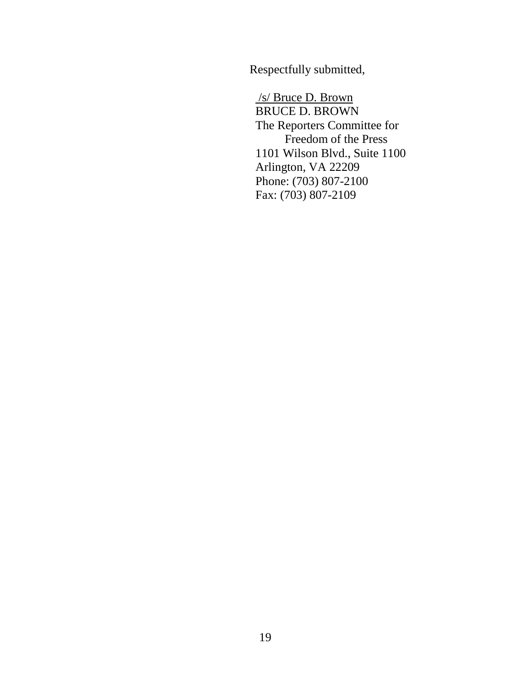Respectfully submitted,

/s/ Bruce D. Brown BRUCE D. BROWN The Reporters Committee for Freedom of the Press 1101 Wilson Blvd., Suite 1100 Arlington, VA 22209 Phone: (703) 807-2100 Fax: (703) 807-2109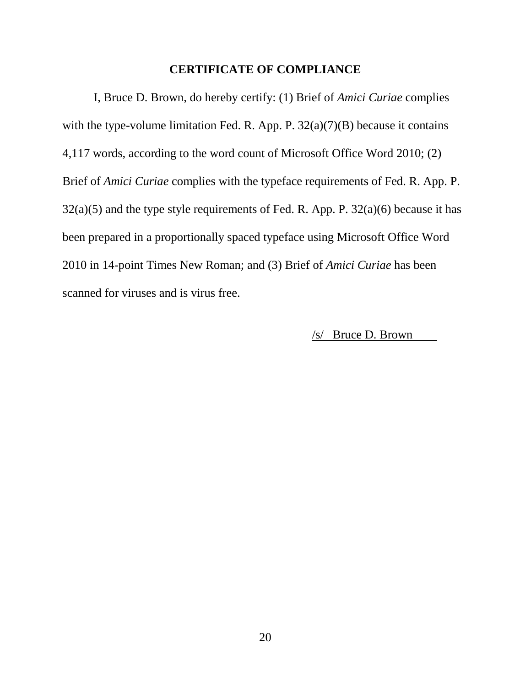#### **CERTIFICATE OF COMPLIANCE**

<span id="page-29-0"></span>I, Bruce D. Brown, do hereby certify: (1) Brief of *Amici Curiae* complies with the type-volume limitation Fed. R. App. P.  $32(a)(7)(B)$  because it contains 4,117 words, according to the word count of Microsoft Office Word 2010; (2) Brief of *Amici Curiae* complies with the typeface requirements of Fed. R. App. P.  $32(a)(5)$  and the type style requirements of Fed. R. App. P.  $32(a)(6)$  because it has been prepared in a proportionally spaced typeface using Microsoft Office Word 2010 in 14-point Times New Roman; and (3) Brief of *Amici Curiae* has been scanned for viruses and is virus free.

/s/ Bruce D. Brown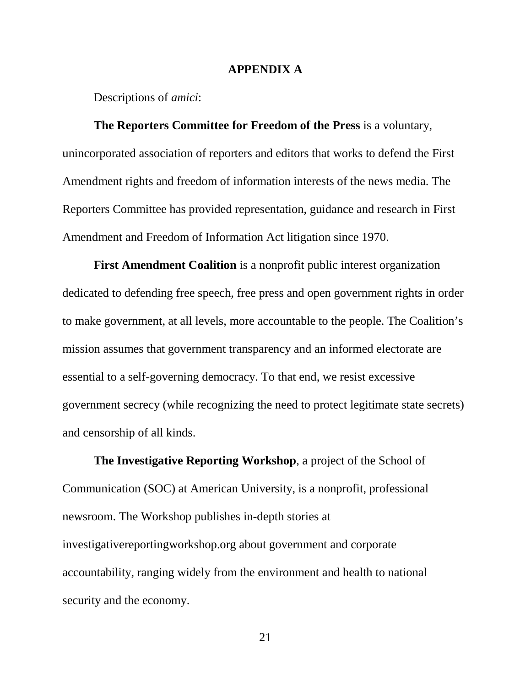#### **APPENDIX A**

<span id="page-30-0"></span>Descriptions of *amici*:

**The Reporters Committee for Freedom of the Press** is a voluntary, unincorporated association of reporters and editors that works to defend the First Amendment rights and freedom of information interests of the news media. The Reporters Committee has provided representation, guidance and research in First Amendment and Freedom of Information Act litigation since 1970.

**First Amendment Coalition** is a nonprofit public interest organization dedicated to defending free speech, free press and open government rights in order to make government, at all levels, more accountable to the people. The Coalition's mission assumes that government transparency and an informed electorate are essential to a self-governing democracy. To that end, we resist excessive government secrecy (while recognizing the need to protect legitimate state secrets) and censorship of all kinds.

**The Investigative Reporting Workshop**, a project of the School of Communication (SOC) at American University, is a nonprofit, professional newsroom. The Workshop publishes in-depth stories at investigativereportingworkshop.org about government and corporate accountability, ranging widely from the environment and health to national security and the economy.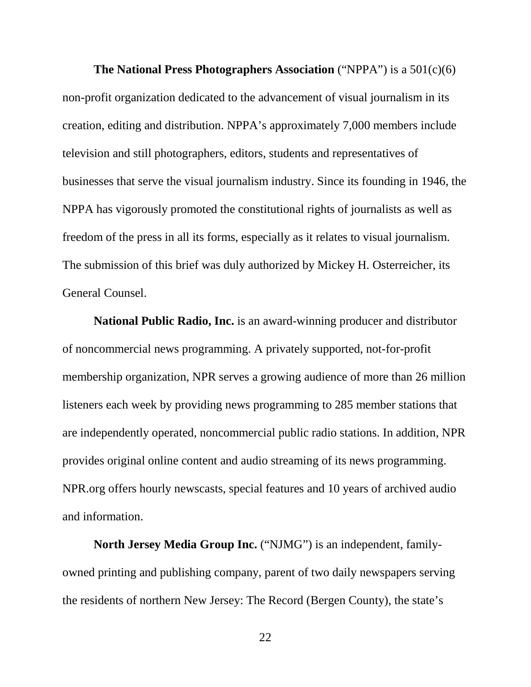**The National Press Photographers Association** ("NPPA") is a 501(c)(6) non-profit organization dedicated to the advancement of visual journalism in its creation, editing and distribution. NPPA's approximately 7,000 members include television and still photographers, editors, students and representatives of businesses that serve the visual journalism industry. Since its founding in 1946, the NPPA has vigorously promoted the constitutional rights of journalists as well as freedom of the press in all its forms, especially as it relates to visual journalism. The submission of this brief was duly authorized by Mickey H. Osterreicher, its General Counsel.

**National Public Radio, Inc.** is an award-winning producer and distributor of noncommercial news programming. A privately supported, not-for-profit membership organization, NPR serves a growing audience of more than 26 million listeners each week by providing news programming to 285 member stations that are independently operated, noncommercial public radio stations. In addition, NPR provides original online content and audio streaming of its news programming. NPR.org offers hourly newscasts, special features and 10 years of archived audio and information.

**North Jersey Media Group Inc.** ("NJMG") is an independent, familyowned printing and publishing company, parent of two daily newspapers serving the residents of northern New Jersey: The Record (Bergen County), the state's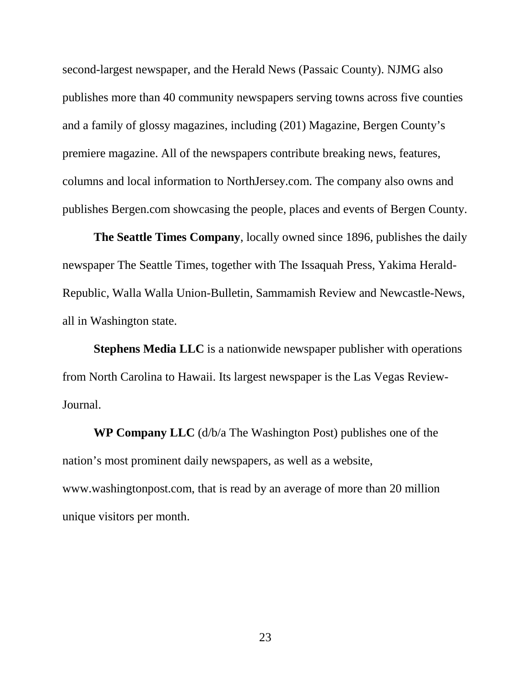second-largest newspaper, and the Herald News (Passaic County). NJMG also publishes more than 40 community newspapers serving towns across five counties and a family of glossy magazines, including (201) Magazine, Bergen County's premiere magazine. All of the newspapers contribute breaking news, features, columns and local information to NorthJersey.com. The company also owns and publishes Bergen.com showcasing the people, places and events of Bergen County.

**The Seattle Times Company**, locally owned since 1896, publishes the daily newspaper The Seattle Times, together with The Issaquah Press, Yakima Herald-Republic, Walla Walla Union-Bulletin, Sammamish Review and Newcastle-News, all in Washington state.

**Stephens Media LLC** is a nationwide newspaper publisher with operations from North Carolina to Hawaii. Its largest newspaper is the Las Vegas Review-Journal.

**WP Company LLC** (d/b/a The Washington Post) publishes one of the nation's most prominent daily newspapers, as well as a website, www.washingtonpost.com, that is read by an average of more than 20 million unique visitors per month.